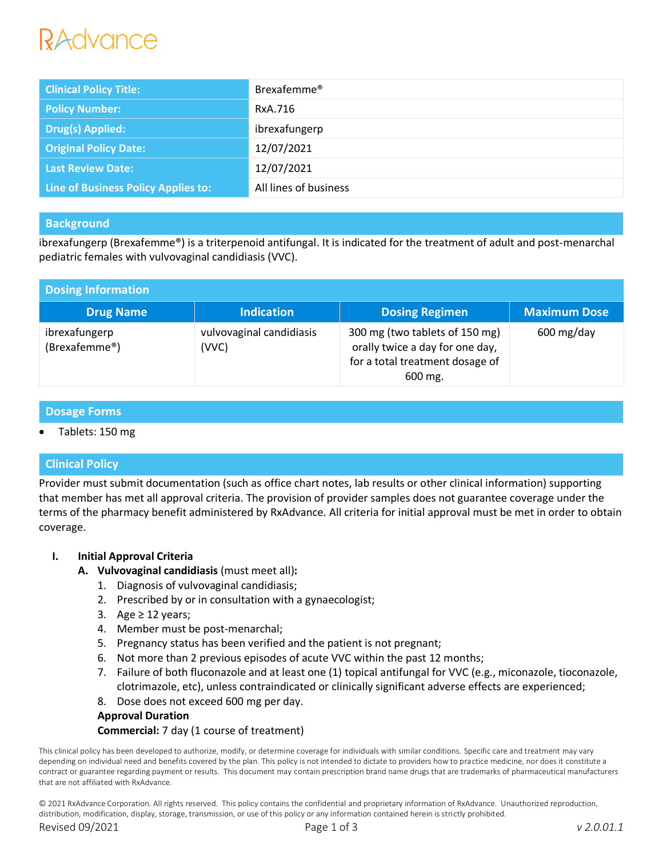# *Advance*

| <b>Clinical Policy Title:</b>       | Brexafemme <sup>®</sup> |
|-------------------------------------|-------------------------|
| <b>Policy Number:</b>               | RxA.716                 |
| Drug(s) Applied:                    | ibrexafungerp           |
| <b>Original Policy Date:</b>        | 12/07/2021              |
| <b>Last Review Date:</b>            | 12/07/2021              |
| Line of Business Policy Applies to: | All lines of business   |

# **Background**

ibrexafungerp (Brexafemme®) is a triterpenoid antifungal. It is indicated for the treatment of adult and post-menarchal pediatric females with vulvovaginal candidiasis (VVC).

| <b>Dosing Information</b>      |                                   |                                                                                                                 |                         |  |  |
|--------------------------------|-----------------------------------|-----------------------------------------------------------------------------------------------------------------|-------------------------|--|--|
| <b>Drug Name</b>               | <b>Indication</b>                 | <b>Dosing Regimen</b>                                                                                           | <b>Maximum Dose</b>     |  |  |
| ibrexafungerp<br>(Brexafemme®) | vulvovaginal candidiasis<br>(VVC) | 300 mg (two tablets of 150 mg)<br>orally twice a day for one day,<br>for a total treatment dosage of<br>600 mg. | $600 \,\mathrm{mg/day}$ |  |  |

# **Dosage Forms**

Tablets: 150 mg

# **Clinical Policy**

Provider must submit documentation (such as office chart notes, lab results or other clinical information) supporting that member has met all approval criteria. The provision of provider samples does not guarantee coverage under the terms of the pharmacy benefit administered by RxAdvance. All criteria for initial approval must be met in order to obtain coverage.

# **I. Initial Approval Criteria**

- **A. Vulvovaginal candidiasis** (must meet all)**:**
	- 1. Diagnosis of vulvovaginal candidiasis;
	- 2. Prescribed by or in consultation with a gynaecologist;
	- 3. Age  $\geq$  12 years;
	- 4. Member must be post-menarchal;
	- 5. Pregnancy status has been verified and the patient is not pregnant;
	- 6. Not more than 2 previous episodes of acute VVC within the past 12 months;
	- 7. Failure of both fluconazole and at least one (1) topical antifungal for VVC (e.g., miconazole, tioconazole, clotrimazole, etc), unless contraindicated or clinically significant adverse effects are experienced;
	- 8. Dose does not exceed 600 mg per day.

# **Approval Duration**

# **Commercial:** 7 day (1 course of treatment)

This clinical policy has been developed to authorize, modify, or determine coverage for individuals with similar conditions. Specific care and treatment may vary depending on individual need and benefits covered by the plan. This policy is not intended to dictate to providers how to practice medicine, nor does it constitute a contract or guarantee regarding payment or results. This document may contain prescription brand name drugs that are trademarks of pharmaceutical manufacturers that are not affiliated with RxAdvance.

© 2021 RxAdvance Corporation. All rights reserved. This policy contains the confidential and proprietary information of RxAdvance. Unauthorized reproduction, distribution, modification, display, storage, transmission, or use of this policy or any information contained herein is strictly prohibited.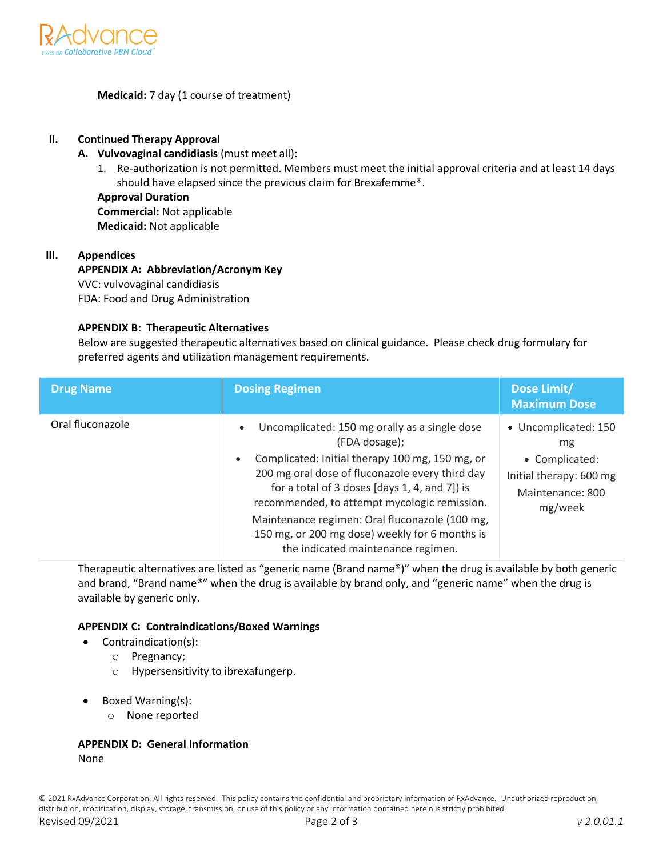

# **Medicaid:** 7 day (1 course of treatment)

#### **II. Continued Therapy Approval**

- **A. Vulvovaginal candidiasis** (must meet all):
	- 1. Re-authorization is not permitted. Members must meet the initial approval criteria and at least 14 days should have elapsed since the previous claim for Brexafemme®.

**Approval Duration Commercial:** Not applicable **Medicaid:** Not applicable

#### **III. Appendices**

## **APPENDIX A: Abbreviation/Acronym Key** VVC: vulvovaginal candidiasis FDA: Food and Drug Administration

#### **APPENDIX B: Therapeutic Alternatives**

Below are suggested therapeutic alternatives based on clinical guidance. Please check drug formulary for preferred agents and utilization management requirements.

| <b>Drug Name</b> | <b>Dosing Regimen</b>                                                                                                                                                                                                                                                                                                                                                                                                                     | Dose Limit/<br><b>Maximum Dose</b>                                                                     |
|------------------|-------------------------------------------------------------------------------------------------------------------------------------------------------------------------------------------------------------------------------------------------------------------------------------------------------------------------------------------------------------------------------------------------------------------------------------------|--------------------------------------------------------------------------------------------------------|
| Oral fluconazole | Uncomplicated: 150 mg orally as a single dose<br>$\bullet$<br>(FDA dosage);<br>Complicated: Initial therapy 100 mg, 150 mg, or<br>$\bullet$<br>200 mg oral dose of fluconazole every third day<br>for a total of 3 doses [days 1, 4, and 7]) is<br>recommended, to attempt mycologic remission.<br>Maintenance regimen: Oral fluconazole (100 mg,<br>150 mg, or 200 mg dose) weekly for 6 months is<br>the indicated maintenance regimen. | • Uncomplicated: 150<br>mg<br>• Complicated:<br>Initial therapy: 600 mg<br>Maintenance: 800<br>mg/week |

Therapeutic alternatives are listed as "generic name (Brand name®)" when the drug is available by both generic and brand, "Brand name®" when the drug is available by brand only, and "generic name" when the drug is available by generic only.

#### **APPENDIX C: Contraindications/Boxed Warnings**

- Contraindication(s):
	- o Pregnancy;
	- o Hypersensitivity to ibrexafungerp.
- Boxed Warning(s):
	- o None reported

#### **APPENDIX D: General Information** None

© 2021 RxAdvance Corporation. All rights reserved. This policy contains the confidential and proprietary information of RxAdvance. Unauthorized reproduction, distribution, modification, display, storage, transmission, or use of this policy or any information contained herein is strictly prohibited. Revised 09/2021 Page 2 of 3 *v 2.0.01.1*